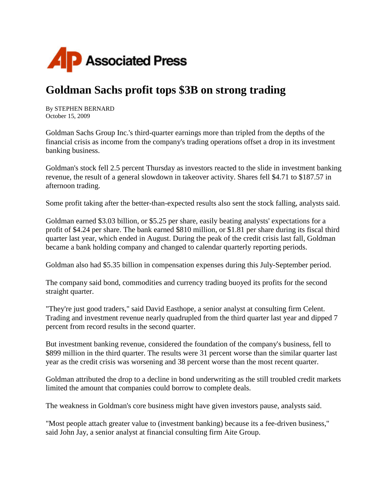

## **Goldman Sachs profit tops \$3B on strong trading**

By STEPHEN BERNARD October 15, 2009

Goldman Sachs Group Inc.'s third-quarter earnings more than tripled from the depths of the financial crisis as income from the company's trading operations offset a drop in its investment banking business.

Goldman's stock fell 2.5 percent Thursday as investors reacted to the slide in investment banking revenue, the result of a general slowdown in takeover activity. Shares fell \$4.71 to \$187.57 in afternoon trading.

Some profit taking after the better-than-expected results also sent the stock falling, analysts said.

Goldman earned \$3.03 billion, or \$5.25 per share, easily beating analysts' expectations for a profit of \$4.24 per share. The bank earned \$810 million, or \$1.81 per share during its fiscal third quarter last year, which ended in August. During the peak of the credit crisis last fall, Goldman became a bank holding company and changed to calendar quarterly reporting periods.

Goldman also had \$5.35 billion in compensation expenses during this July-September period.

The company said bond, commodities and currency trading buoyed its profits for the second straight quarter.

"They're just good traders," said David Easthope, a senior analyst at consulting firm Celent. Trading and investment revenue nearly quadrupled from the third quarter last year and dipped 7 percent from record results in the second quarter.

But investment banking revenue, considered the foundation of the company's business, fell to \$899 million in the third quarter. The results were 31 percent worse than the similar quarter last year as the credit crisis was worsening and 38 percent worse than the most recent quarter.

Goldman attributed the drop to a decline in bond underwriting as the still troubled credit markets limited the amount that companies could borrow to complete deals.

The weakness in Goldman's core business might have given investors pause, analysts said.

"Most people attach greater value to (investment banking) because its a fee-driven business," said John Jay, a senior analyst at financial consulting firm Aite Group.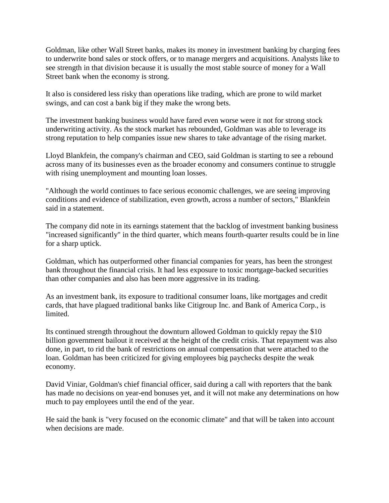Goldman, like other Wall Street banks, makes its money in investment banking by charging fees to underwrite bond sales or stock offers, or to manage mergers and acquisitions. Analysts like to see strength in that division because it is usually the most stable source of money for a Wall Street bank when the economy is strong.

It also is considered less risky than operations like trading, which are prone to wild market swings, and can cost a bank big if they make the wrong bets.

The investment banking business would have fared even worse were it not for strong stock underwriting activity. As the stock market has rebounded, Goldman was able to leverage its strong reputation to help companies issue new shares to take advantage of the rising market.

Lloyd Blankfein, the company's chairman and CEO, said Goldman is starting to see a rebound across many of its businesses even as the broader economy and consumers continue to struggle with rising unemployment and mounting loan losses.

"Although the world continues to face serious economic challenges, we are seeing improving conditions and evidence of stabilization, even growth, across a number of sectors," Blankfein said in a statement.

The company did note in its earnings statement that the backlog of investment banking business "increased significantly" in the third quarter, which means fourth-quarter results could be in line for a sharp uptick.

Goldman, which has outperformed other financial companies for years, has been the strongest bank throughout the financial crisis. It had less exposure to toxic mortgage-backed securities than other companies and also has been more aggressive in its trading.

As an investment bank, its exposure to traditional consumer loans, like mortgages and credit cards, that have plagued traditional banks like Citigroup Inc. and Bank of America Corp., is limited.

Its continued strength throughout the downturn allowed Goldman to quickly repay the \$10 billion government bailout it received at the height of the credit crisis. That repayment was also done, in part, to rid the bank of restrictions on annual compensation that were attached to the loan. Goldman has been criticized for giving employees big paychecks despite the weak economy.

David Viniar, Goldman's chief financial officer, said during a call with reporters that the bank has made no decisions on year-end bonuses yet, and it will not make any determinations on how much to pay employees until the end of the year.

He said the bank is "very focused on the economic climate" and that will be taken into account when decisions are made.